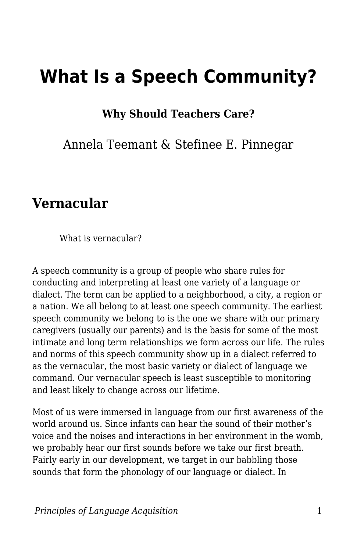# **What Is a Speech Community?**

**Why Should Teachers Care?**

Annela Teemant & Stefinee E. Pinnegar

#### **Vernacular**

What is vernacular?

A speech community is a group of people who share rules for conducting and interpreting at least one variety of a language or dialect. The term can be applied to a neighborhood, a city, a region or a nation. We all belong to at least one speech community. The earliest speech community we belong to is the one we share with our primary caregivers (usually our parents) and is the basis for some of the most intimate and long term relationships we form across our life. The rules and norms of this speech community show up in a dialect referred to as the vernacular, the most basic variety or dialect of language we command. Our vernacular speech is least susceptible to monitoring and least likely to change across our lifetime.

Most of us were immersed in language from our first awareness of the world around us. Since infants can hear the sound of their mother's voice and the noises and interactions in her environment in the womb, we probably hear our first sounds before we take our first breath. Fairly early in our development, we target in our babbling those sounds that form the phonology of our language or dialect. In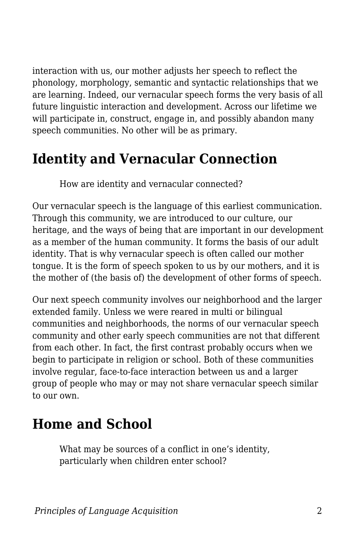interaction with us, our mother adjusts her speech to reflect the phonology, morphology, semantic and syntactic relationships that we are learning. Indeed, our vernacular speech forms the very basis of all future linguistic interaction and development. Across our lifetime we will participate in, construct, engage in, and possibly abandon many speech communities. No other will be as primary.

#### **Identity and Vernacular Connection**

How are identity and vernacular connected?

Our vernacular speech is the language of this earliest communication. Through this community, we are introduced to our culture, our heritage, and the ways of being that are important in our development as a member of the human community. It forms the basis of our adult identity. That is why vernacular speech is often called our mother tongue. It is the form of speech spoken to us by our mothers, and it is the mother of (the basis of) the development of other forms of speech.

Our next speech community involves our neighborhood and the larger extended family. Unless we were reared in multi or bilingual communities and neighborhoods, the norms of our vernacular speech community and other early speech communities are not that different from each other. In fact, the first contrast probably occurs when we begin to participate in religion or school. Both of these communities involve regular, face-to-face interaction between us and a larger group of people who may or may not share vernacular speech similar to our own.

#### **Home and School**

What may be sources of a conflict in one's identity, particularly when children enter school?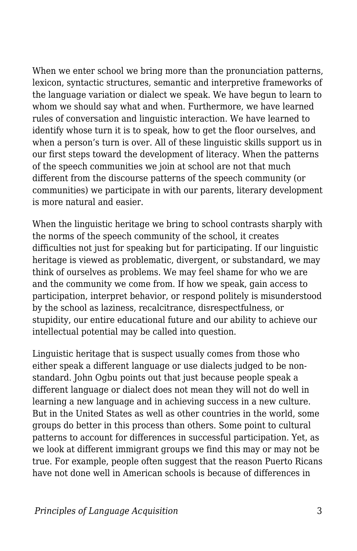When we enter school we bring more than the pronunciation patterns, lexicon, syntactic structures, semantic and interpretive frameworks of the language variation or dialect we speak. We have begun to learn to whom we should say what and when. Furthermore, we have learned rules of conversation and linguistic interaction. We have learned to identify whose turn it is to speak, how to get the floor ourselves, and when a person's turn is over. All of these linguistic skills support us in our first steps toward the development of literacy. When the patterns of the speech communities we join at school are not that much different from the discourse patterns of the speech community (or communities) we participate in with our parents, literary development is more natural and easier.

When the linguistic heritage we bring to school contrasts sharply with the norms of the speech community of the school, it creates difficulties not just for speaking but for participating. If our linguistic heritage is viewed as problematic, divergent, or substandard, we may think of ourselves as problems. We may feel shame for who we are and the community we come from. If how we speak, gain access to participation, interpret behavior, or respond politely is misunderstood by the school as laziness, recalcitrance, disrespectfulness, or stupidity, our entire educational future and our ability to achieve our intellectual potential may be called into question.

Linguistic heritage that is suspect usually comes from those who either speak a different language or use dialects judged to be nonstandard. John Ogbu points out that just because people speak a different language or dialect does not mean they will not do well in learning a new language and in achieving success in a new culture. But in the United States as well as other countries in the world, some groups do better in this process than others. Some point to cultural patterns to account for differences in successful participation. Yet, as we look at different immigrant groups we find this may or may not be true. For example, people often suggest that the reason Puerto Ricans have not done well in American schools is because of differences in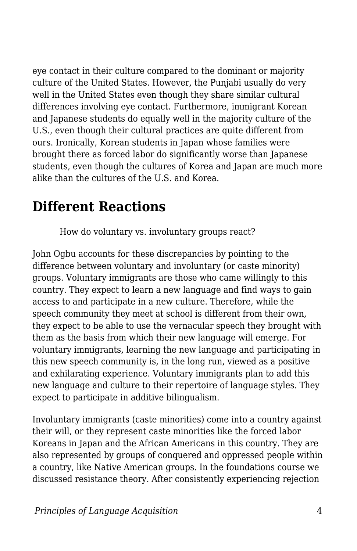eye contact in their culture compared to the dominant or majority culture of the United States. However, the Punjabi usually do very well in the United States even though they share similar cultural differences involving eye contact. Furthermore, immigrant Korean and Japanese students do equally well in the majority culture of the U.S., even though their cultural practices are quite different from ours. Ironically, Korean students in Japan whose families were brought there as forced labor do significantly worse than Japanese students, even though the cultures of Korea and Japan are much more alike than the cultures of the U.S. and Korea.

#### **Different Reactions**

How do voluntary vs. involuntary groups react?

John Ogbu accounts for these discrepancies by pointing to the difference between voluntary and involuntary (or caste minority) groups. Voluntary immigrants are those who came willingly to this country. They expect to learn a new language and find ways to gain access to and participate in a new culture. Therefore, while the speech community they meet at school is different from their own, they expect to be able to use the vernacular speech they brought with them as the basis from which their new language will emerge. For voluntary immigrants, learning the new language and participating in this new speech community is, in the long run, viewed as a positive and exhilarating experience. Voluntary immigrants plan to add this new language and culture to their repertoire of language styles. They expect to participate in additive bilingualism.

Involuntary immigrants (caste minorities) come into a country against their will, or they represent caste minorities like the forced labor Koreans in Japan and the African Americans in this country. They are also represented by groups of conquered and oppressed people within a country, like Native American groups. In the foundations course we discussed resistance theory. After consistently experiencing rejection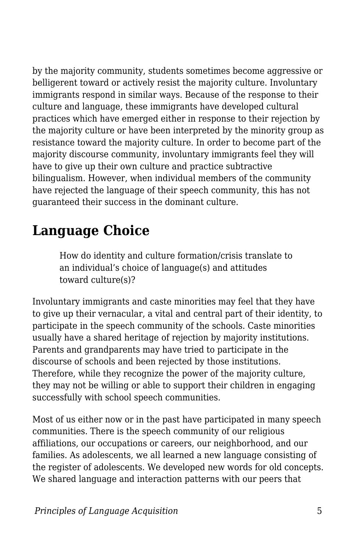by the majority community, students sometimes become aggressive or belligerent toward or actively resist the majority culture. Involuntary immigrants respond in similar ways. Because of the response to their culture and language, these immigrants have developed cultural practices which have emerged either in response to their rejection by the majority culture or have been interpreted by the minority group as resistance toward the majority culture. In order to become part of the majority discourse community, involuntary immigrants feel they will have to give up their own culture and practice subtractive bilingualism. However, when individual members of the community have rejected the language of their speech community, this has not guaranteed their success in the dominant culture.

## **Language Choice**

How do identity and culture formation/crisis translate to an individual's choice of language(s) and attitudes toward culture(s)?

Involuntary immigrants and caste minorities may feel that they have to give up their vernacular, a vital and central part of their identity, to participate in the speech community of the schools. Caste minorities usually have a shared heritage of rejection by majority institutions. Parents and grandparents may have tried to participate in the discourse of schools and been rejected by those institutions. Therefore, while they recognize the power of the majority culture, they may not be willing or able to support their children in engaging successfully with school speech communities.

Most of us either now or in the past have participated in many speech communities. There is the speech community of our religious affiliations, our occupations or careers, our neighborhood, and our families. As adolescents, we all learned a new language consisting of the register of adolescents. We developed new words for old concepts. We shared language and interaction patterns with our peers that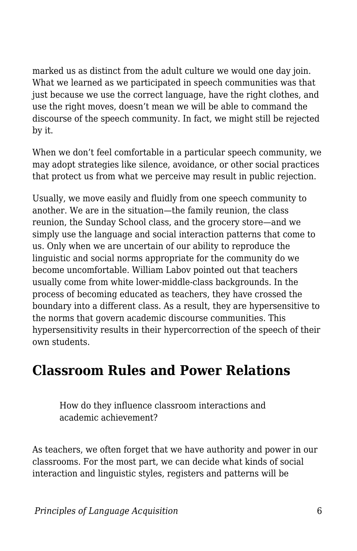marked us as distinct from the adult culture we would one day join. What we learned as we participated in speech communities was that just because we use the correct language, have the right clothes, and use the right moves, doesn't mean we will be able to command the discourse of the speech community. In fact, we might still be rejected by it.

When we don't feel comfortable in a particular speech community, we may adopt strategies like silence, avoidance, or other social practices that protect us from what we perceive may result in public rejection.

Usually, we move easily and fluidly from one speech community to another. We are in the situation—the family reunion, the class reunion, the Sunday School class, and the grocery store—and we simply use the language and social interaction patterns that come to us. Only when we are uncertain of our ability to reproduce the linguistic and social norms appropriate for the community do we become uncomfortable. William Labov pointed out that teachers usually come from white lower-middle-class backgrounds. In the process of becoming educated as teachers, they have crossed the boundary into a different class. As a result, they are hypersensitive to the norms that govern academic discourse communities. This hypersensitivity results in their hypercorrection of the speech of their own students.

#### **Classroom Rules and Power Relations**

How do they influence classroom interactions and academic achievement?

As teachers, we often forget that we have authority and power in our classrooms. For the most part, we can decide what kinds of social interaction and linguistic styles, registers and patterns will be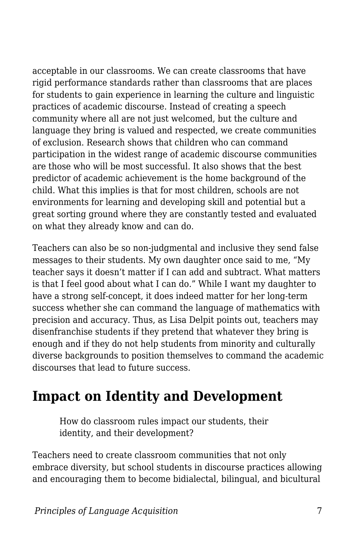acceptable in our classrooms. We can create classrooms that have rigid performance standards rather than classrooms that are places for students to gain experience in learning the culture and linguistic practices of academic discourse. Instead of creating a speech community where all are not just welcomed, but the culture and language they bring is valued and respected, we create communities of exclusion. Research shows that children who can command participation in the widest range of academic discourse communities are those who will be most successful. It also shows that the best predictor of academic achievement is the home background of the child. What this implies is that for most children, schools are not environments for learning and developing skill and potential but a great sorting ground where they are constantly tested and evaluated on what they already know and can do.

Teachers can also be so non-judgmental and inclusive they send false messages to their students. My own daughter once said to me, "My teacher says it doesn't matter if I can add and subtract. What matters is that I feel good about what I can do." While I want my daughter to have a strong self-concept, it does indeed matter for her long-term success whether she can command the language of mathematics with precision and accuracy. Thus, as Lisa Delpit points out, teachers may disenfranchise students if they pretend that whatever they bring is enough and if they do not help students from minority and culturally diverse backgrounds to position themselves to command the academic discourses that lead to future success.

### **Impact on Identity and Development**

How do classroom rules impact our students, their identity, and their development?

Teachers need to create classroom communities that not only embrace diversity, but school students in discourse practices allowing and encouraging them to become bidialectal, bilingual, and bicultural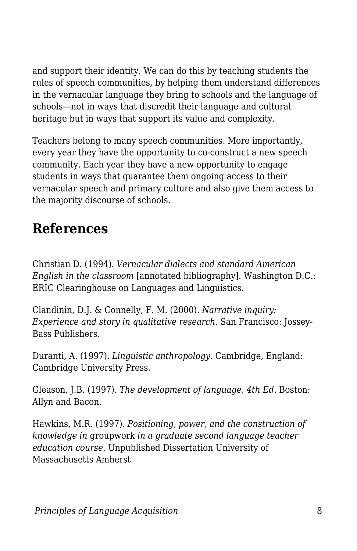and support their identity. We can do this by teaching students the rules of speech communities, by helping them understand differences in the vernacular language they bring to schools and the language of schools—not in ways that discredit their language and cultural heritage but in ways that support its value and complexity.

Teachers belong to many speech communities. More importantly, every year they have the opportunity to co-construct a new speech community. Each year they have a new opportunity to engage students in ways that guarantee them ongoing access to their vernacular speech and primary culture and also give them access to the majority discourse of schools.

## **References**

Christian D. (1994). *Vernacular dialects and standard American English in the classroom* [annotated bibliography]. Washington D.C.: ERIC Clearinghouse on Languages and Linguistics.

Clandinin, D.J. & Connelly, F. M. (2000). *Narrative inquiry: Experience and story in qualitative research.* San Francisco: Jossey-Bass Publishers.

Duranti, A. (1997). *Linguistic anthropology.* Cambridge, England: Cambridge University Press.

Gleason, J.B. (1997). *The development of language, 4th Ed*. Boston: Allyn and Bacon.

Hawkins, M.R. (1997). *Positioning, power, and the construction of knowledge in* groupwork *in a graduate second language teacher education course.* Unpublished Dissertation University of Massachusetts Amherst.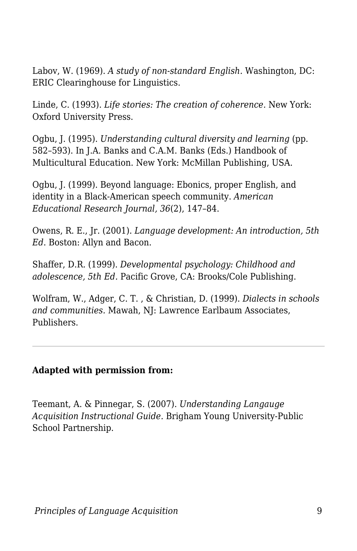Labov, W. (1969). *A study of non-standard English.* Washington, DC: ERIC Clearinghouse for Linguistics.

Linde, C. (1993). *Life stories: The creation of coherence.* New York: Oxford University Press.

Ogbu, J. (1995). *Understanding cultural diversity and learning* (pp. 582–593). In J.A. Banks and C.A.M. Banks (Eds.) Handbook of Multicultural Education. New York: McMillan Publishing, USA.

Ogbu, J. (1999). Beyond language: Ebonics, proper English, and identity in a Black-American speech community. *American Educational Research Journal, 36*(2), 147–84.

Owens, R. E., Jr. (2001). *Language development: An introduction, 5th Ed*. Boston: Allyn and Bacon.

Shaffer, D.R. (1999). *Developmental psychology: Childhood and adolescence, 5th Ed.* Pacific Grove, CA: Brooks/Cole Publishing.

Wolfram, W., Adger, C. T. , & Christian, D. (1999). *Dialects in schools and communities.* Mawah, NJ: Lawrence Earlbaum Associates, Publishers.

#### **Adapted with permission from:**

Teemant, A. & Pinnegar, S. (2007). *Understanding Langauge Acquisition Instructional Guide.* Brigham Young University-Public School Partnership.